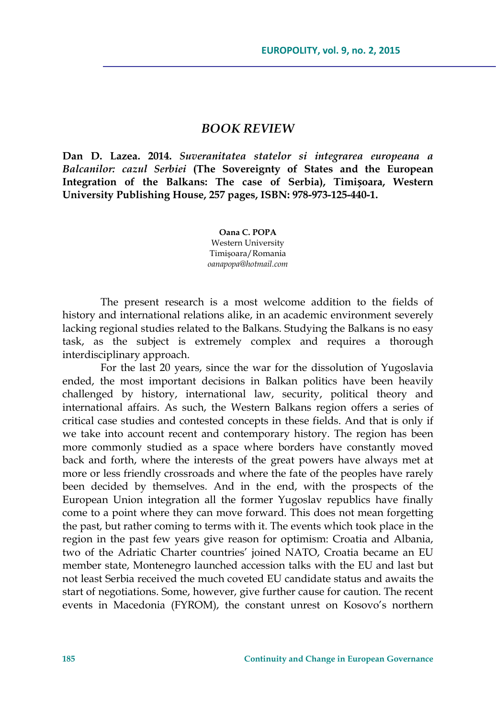## *BOOK REVIEW*

**Dan D. Lazea. 2014.** *Suveranitatea statelor si integrarea europeana a Balcanilor: cazul Serbiei* **(The Sovereignty of States and the European Integration of the Balkans: The case of Serbia), Timișoara, Western University Publishing House, 257 pages, ISBN: 978-973-125-440-1.** 

> **Oana C. POPA**  Western University Timişoara/Romania *oanapopa@hotmail.com*

The present research is a most welcome addition to the fields of history and international relations alike, in an academic environment severely lacking regional studies related to the Balkans. Studying the Balkans is no easy task, as the subject is extremely complex and requires a thorough interdisciplinary approach.

For the last 20 years, since the war for the dissolution of Yugoslavia ended, the most important decisions in Balkan politics have been heavily challenged by history, international law, security, political theory and international affairs. As such, the Western Balkans region offers a series of critical case studies and contested concepts in these fields. And that is only if we take into account recent and contemporary history. The region has been more commonly studied as a space where borders have constantly moved back and forth, where the interests of the great powers have always met at more or less friendly crossroads and where the fate of the peoples have rarely been decided by themselves. And in the end, with the prospects of the European Union integration all the former Yugoslav republics have finally come to a point where they can move forward. This does not mean forgetting the past, but rather coming to terms with it. The events which took place in the region in the past few years give reason for optimism: Croatia and Albania, two of the Adriatic Charter countries' joined NATO, Croatia became an EU member state, Montenegro launched accession talks with the EU and last but not least Serbia received the much coveted EU candidate status and awaits the start of negotiations. Some, however, give further cause for caution. The recent events in Macedonia (FYROM), the constant unrest on Kosovo's northern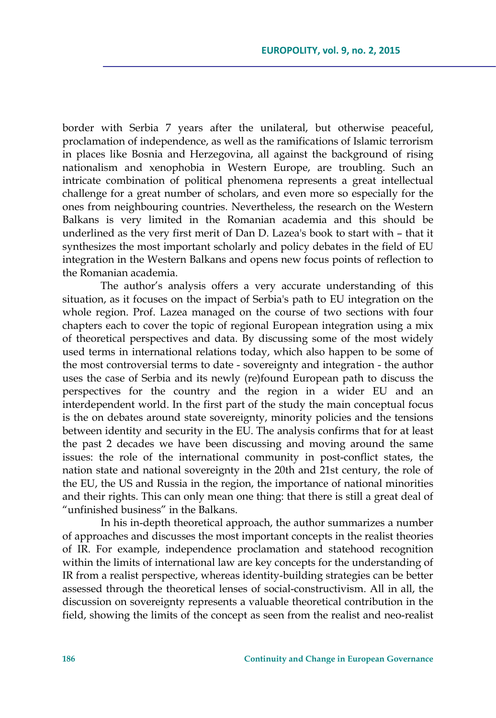border with Serbia 7 years after the unilateral, but otherwise peaceful, proclamation of independence, as well as the ramifications of Islamic terrorism in places like Bosnia and Herzegovina, all against the background of rising nationalism and xenophobia in Western Europe, are troubling. Such an intricate combination of political phenomena represents a great intellectual challenge for a great number of scholars, and even more so especially for the ones from neighbouring countries. Nevertheless, the research on the Western Balkans is very limited in the Romanian academia and this should be underlined as the very first merit of Dan D. Lazea's book to start with – that it synthesizes the most important scholarly and policy debates in the field of EU integration in the Western Balkans and opens new focus points of reflection to the Romanian academia.

The author's analysis offers a very accurate understanding of this situation, as it focuses on the impact of Serbia's path to EU integration on the whole region. Prof. Lazea managed on the course of two sections with four chapters each to cover the topic of regional European integration using a mix of theoretical perspectives and data. By discussing some of the most widely used terms in international relations today, which also happen to be some of the most controversial terms to date - sovereignty and integration - the author uses the case of Serbia and its newly (re)found European path to discuss the perspectives for the country and the region in a wider EU and an interdependent world. In the first part of the study the main conceptual focus is the on debates around state sovereignty, minority policies and the tensions between identity and security in the EU. The analysis confirms that for at least the past 2 decades we have been discussing and moving around the same issues: the role of the international community in post-conflict states, the nation state and national sovereignty in the 20th and 21st century, the role of the EU, the US and Russia in the region, the importance of national minorities and their rights. This can only mean one thing: that there is still a great deal of "unfinished business" in the Balkans.

In his in-depth theoretical approach, the author summarizes a number of approaches and discusses the most important concepts in the realist theories of IR. For example, independence proclamation and statehood recognition within the limits of international law are key concepts for the understanding of IR from a realist perspective, whereas identity-building strategies can be better assessed through the theoretical lenses of social-constructivism. All in all, the discussion on sovereignty represents a valuable theoretical contribution in the field, showing the limits of the concept as seen from the realist and neo-realist